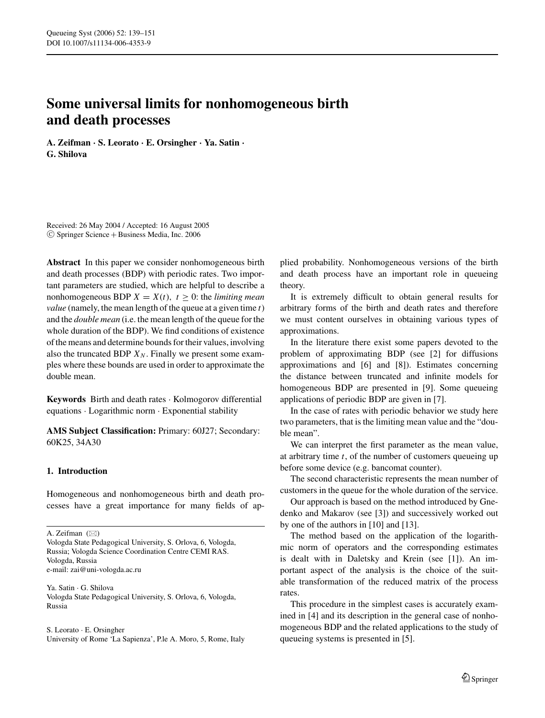# **Some universal limits for nonhomogeneous birth and death processes**

**A. Zeifman** *·* **S. Leorato** *·* **E. Orsingher** *·* **Ya. Satin** *·* **G. Shilova**

Received: 26 May 2004 / Accepted: 16 August 2005  $©$  Springer Science + Business Media, Inc. 2006

**Abstract** In this paper we consider nonhomogeneous birth and death processes (BDP) with periodic rates. Two important parameters are studied, which are helpful to describe a nonhomogeneous BDP  $X = X(t)$ ,  $t > 0$ : the *limiting mean value* (namely, the mean length of the queue at a given time *t*) and the *double mean* (i.e. the mean length of the queue for the whole duration of the BDP). We find conditions of existence of the means and determine bounds for their values, involving also the truncated BDP  $X_N$ . Finally we present some examples where these bounds are used in order to approximate the double mean.

**Keywords** Birth and death rates · Kolmogorov differential equations · Logarithmic norm · Exponential stability

**AMS Subject Classification:** Primary: 60J27; Secondary: 60K25, 34A30

# **1. Introduction**

Homogeneous and nonhomogeneous birth and death processes have a great importance for many fields of ap-

Ya. Satin · G. Shilova Vologda State Pedagogical University, S. Orlova, 6, Vologda, Russia

S. Leorato · E. Orsingher University of Rome 'La Sapienza', P.le A. Moro, 5, Rome, Italy plied probability. Nonhomogeneous versions of the birth and death process have an important role in queueing theory.

It is extremely difficult to obtain general results for arbitrary forms of the birth and death rates and therefore we must content ourselves in obtaining various types of approximations.

In the literature there exist some papers devoted to the problem of approximating BDP (see [2] for diffusions approximations and [6] and [8]). Estimates concerning the distance between truncated and infinite models for homogeneous BDP are presented in [9]. Some queueing applications of periodic BDP are given in [7].

In the case of rates with periodic behavior we study here two parameters, that is the limiting mean value and the "double mean".

We can interpret the first parameter as the mean value, at arbitrary time *t*, of the number of customers queueing up before some device (e.g. bancomat counter).

The second characteristic represents the mean number of customers in the queue for the whole duration of the service.

Our approach is based on the method introduced by Gnedenko and Makarov (see [3]) and successively worked out by one of the authors in [10] and [13].

The method based on the application of the logarithmic norm of operators and the corresponding estimates is dealt with in Daletsky and Krein (see [1]). An important aspect of the analysis is the choice of the suitable transformation of the reduced matrix of the process rates.

This procedure in the simplest cases is accurately examined in [4] and its description in the general case of nonhomogeneous BDP and the related applications to the study of queueing systems is presented in [5].

A. Zeifman  $(\boxtimes)$ 

Vologda State Pedagogical University, S. Orlova, 6, Vologda, Russia; Vologda Science Coordination Centre CEMI RAS. Vologda, Russia e-mail: zai@uni-vologda.ac.ru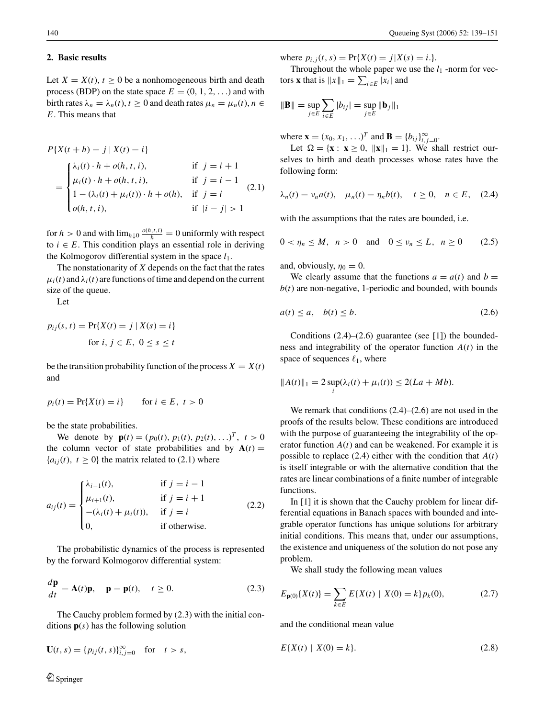### **2. Basic results**

Let  $X = X(t)$ ,  $t > 0$  be a nonhomogeneous birth and death process (BDP) on the state space  $E = (0, 1, 2, \ldots)$  and with birth rates  $\lambda_n = \lambda_n(t)$ ,  $t \geq 0$  and death rates  $\mu_n = \mu_n(t)$ ,  $n \in$ *E*. This means that

$$
P\{X(t+h) = j \mid X(t) = i\}
$$
  
\n
$$
= \begin{cases} \lambda_i(t) \cdot h + o(h, t, i), & \text{if } j = i + 1 \\ \mu_i(t) \cdot h + o(h, t, i), & \text{if } j = i - 1 \\ 1 - (\lambda_i(t) + \mu_i(t)) \cdot h + o(h), & \text{if } j = i \\ o(h, t, i), & \text{if } |i - j| > 1 \end{cases}
$$
 (2.1)

for *h* > 0 and with  $\lim_{h \downarrow 0} \frac{o(h,t,i)}{h} = 0$  uniformly with respect to  $i \in E$ . This condition plays an essential role in deriving the Kolmogorov differential system in the space  $l_1$ .

The nonstationarity of *X* depends on the fact that the rates  $\mu_i(t)$  and  $\lambda_i(t)$  are functions of time and depend on the current size of the queue.

Let

$$
p_{ij}(s, t) = \Pr\{X(t) = j \mid X(s) = i\}
$$
  
for  $i, j \in E, 0 \le s \le t$ 

be the transition probability function of the process  $X = X(t)$ and

$$
p_i(t) = \Pr\{X(t) = i\} \qquad \text{for } i \in E, \ t > 0
$$

be the state probabilities.

We denote by  $\mathbf{p}(t) = (p_0(t), p_1(t), p_2(t), \ldots)^T$ ,  $t > 0$ the column vector of state probabilities and by  $A(t) =$  ${a_{ij}(t), t \ge 0}$  the matrix related to (2.1) where

$$
a_{ij}(t) = \begin{cases} \lambda_{i-1}(t), & \text{if } j = i-1\\ \mu_{i+1}(t), & \text{if } j = i+1\\ -(\lambda_i(t) + \mu_i(t)), & \text{if } j = i\\ 0, & \text{if otherwise.} \end{cases} \tag{2.2}
$$

The probabilistic dynamics of the process is represented by the forward Kolmogorov differential system:

$$
\frac{d\mathbf{p}}{dt} = \mathbf{A}(t)\mathbf{p}, \quad \mathbf{p} = \mathbf{p}(t), \quad t \ge 0.
$$
 (2.3)

The Cauchy problem formed by (2.3) with the initial conditions **p**(*s*) has the following solution

$$
\mathbf{U}(t,s) = \{p_{ij}(t,s)\}_{i,j=0}^{\infty} \text{ for } t > s,
$$

where  $p_{i,j}(t, s) = Pr{X(t) = j | X(s) = i.}$ .

Throughout the whole paper we use the  $l_1$  -norm for vectors **x** that is  $||x||_1 = \sum_{i \in E} |x_i|$  and

$$
\|\mathbf{B}\| = \sup_{j \in E} \sum_{i \in E} |b_{ij}| = \sup_{j \in E} \|\mathbf{b}_j\|_1
$$

where  $\mathbf{x} = (x_0, x_1, \ldots)^T$  and  $\mathbf{B} = \{b_{ij}\}_{i,j=0}^{\infty}$ .

Let  $\Omega = {\mathbf{x} : \mathbf{x} \ge 0, ||\mathbf{x}||_1 = 1}.$  We shall restrict ourselves to birth and death processes whose rates have the following form:

$$
\lambda_n(t) = \nu_n a(t), \quad \mu_n(t) = \eta_n b(t), \quad t \ge 0, \quad n \in E, \quad (2.4)
$$

with the assumptions that the rates are bounded, i.e.

$$
0 < \eta_n \le M, \ \ n > 0 \quad \text{and} \quad 0 \le \nu_n \le L, \ \ n \ge 0 \tag{2.5}
$$

and, obviously,  $\eta_0 = 0$ .

We clearly assume that the functions  $a = a(t)$  and  $b =$  $b(t)$  are non-negative, 1-periodic and bounded, with bounds

$$
a(t) \le a, \quad b(t) \le b. \tag{2.6}
$$

Conditions  $(2.4)$ – $(2.6)$  guarantee (see [1]) the boundedness and integrability of the operator function  $A(t)$  in the space of sequences  $\ell_1$ , where

$$
||A(t)||_1 = 2 \sup_i (\lambda_i(t) + \mu_i(t)) \le 2(La + Mb).
$$

We remark that conditions  $(2.4)$ – $(2.6)$  are not used in the proofs of the results below. These conditions are introduced with the purpose of guaranteeing the integrability of the operator function  $A(t)$  and can be weakened. For example it is possible to replace  $(2.4)$  either with the condition that  $A(t)$ is itself integrable or with the alternative condition that the rates are linear combinations of a finite number of integrable functions.

In [1] it is shown that the Cauchy problem for linear differential equations in Banach spaces with bounded and integrable operator functions has unique solutions for arbitrary initial conditions. This means that, under our assumptions, the existence and uniqueness of the solution do not pose any problem.

We shall study the following mean values

$$
E_{\mathbf{p}(0)}\{X(t)\} = \sum_{k \in E} E\{X(t) \mid X(0) = k\} p_k(0),\tag{2.7}
$$

and the conditional mean value

$$
E\{X(t) \mid X(0) = k\}.\tag{2.8}
$$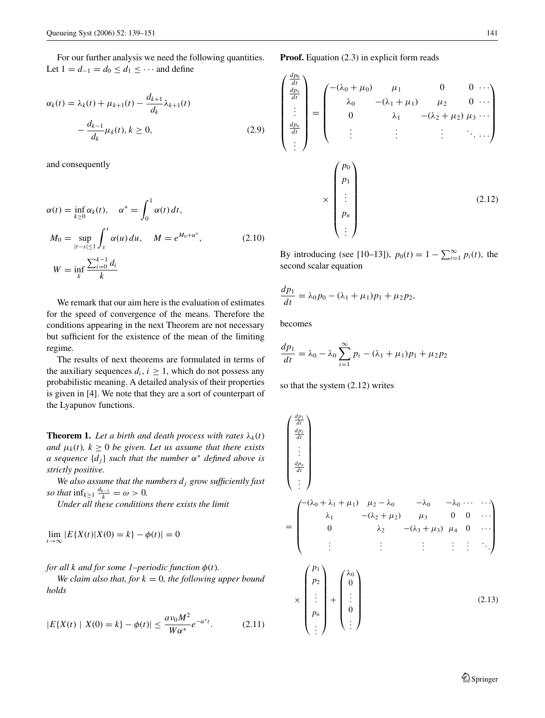For our further analysis we need the following quantities. Let  $1 = d_{-1} = d_0 \leq d_1 \leq \cdots$  and define

$$
\alpha_k(t) = \lambda_k(t) + \mu_{k+1}(t) - \frac{d_{k+1}}{d_k} \lambda_{k+1}(t) - \frac{d_{k-1}}{d_k} \mu_k(t), k \ge 0,
$$
\n(2.9)

and consequently

$$
\alpha(t) = \inf_{k \ge 0} \alpha_k(t), \quad \alpha^* = \int_0^1 \alpha(t) dt,
$$
  
\n
$$
M_0 = \sup_{|t-s| \le 1} \int_s^t \alpha(u) du, \quad M = e^{M_0 + \alpha^*},
$$
  
\n
$$
W = \inf_k \frac{\sum_{i=0}^{k-1} d_i}{k}
$$
\n(2.10)

We remark that our aim here is the evaluation of estimates for the speed of convergence of the means. Therefore the conditions appearing in the next Theorem are not necessary but sufficient for the existence of the mean of the limiting regime.

The results of next theorems are formulated in terms of the auxiliary sequences  $d_i$ ,  $i \geq 1$ , which do not possess any probabilistic meaning. A detailed analysis of their properties is given in [4]. We note that they are a sort of counterpart of the Lyapunov functions.

**Theorem 1.** Let a birth and death process with rates  $\lambda_k(t)$ *and*  $\mu_k(t)$ ,  $k \geq 0$  *be given. Let us assume that there exists a sequence* {*dj*} *such that the number* α<sup>∗</sup> *defined above is strictly positive.*

We also assume that the numbers  $d_i$  *grow sufficiently fast so that*  $\inf_{k \geq 1} \frac{d_{k-1}}{k} = \omega > 0$ .

*Under all these conditions there exists the limit*

$$
\lim_{t \to \infty} |E\{X(t)|X(0) = k\} - \phi(t)| = 0
$$

*for all k and for some 1–periodic function*  $\phi(t)$ *.* 

*We claim also that, for*  $k = 0$ *, the following upper bound holds*

$$
|E\{X(t) \mid X(0) = k\} - \phi(t)| \le \frac{a v_0 M^2}{W\alpha^*} e^{-\alpha^* t}.
$$
 (2.11)

$$
\begin{pmatrix}\n\frac{dp_0}{dt} \\
\vdots \\
\frac{dp_n}{dt} \\
\vdots \\
\frac{dp_n}{dt}\n\end{pmatrix} = \begin{pmatrix}\n-(\lambda_0 + \mu_0) & \mu_1 & 0 & 0 & \cdots \\
\lambda_0 & -(\lambda_1 + \mu_1) & \mu_2 & 0 & \cdots \\
0 & \lambda_1 & -(\lambda_2 + \mu_2) \mu_3 & \cdots \\
\vdots & \vdots & \vdots & \ddots & \vdots \\
\mu_1 & \vdots & \vdots & \ddots & \vdots \\
\mu_n & \vdots & \vdots & \vdots & \ddots\n\end{pmatrix}
$$
\n
$$
\times \begin{pmatrix}\np_0 \\
p_1 \\
\vdots \\
p_n \\
\vdots\n\end{pmatrix}
$$
\n(2.12)

By introducing (see [10–13]),  $p_0(t) = 1 - \sum_{i=1}^{\infty} p_i(t)$ , the second scalar equation

$$
\frac{dp_1}{dt} = \lambda_0 p_0 - (\lambda_1 + \mu_1)p_1 + \mu_2 p_2,
$$

becomes

 $\sqrt{ }$  $\mathbf{I}$  $\mathbf{I}$  $\mathbf{I}$  $\mathbf{I}$  $\mathbf{I}$  $\mathbf{I}$  $\mathbf{I}$  $\mathbf{I}$  $\mathsf{l}$ 

$$
\frac{dp_1}{dt} = \lambda_0 - \lambda_0 \sum_{i=1}^{\infty} p_i - (\lambda_1 + \mu_1)p_1 + \mu_2 p_2
$$

so that the system (2.12) writes

$$
\begin{pmatrix}\n\frac{dp_1}{dt} \\
\frac{dp_2}{dt} \\
\vdots \\
\frac{dp_n}{dt} \\
\vdots\n\end{pmatrix}
$$
\n=\n
$$
\begin{pmatrix}\n-(\lambda_0 + \lambda_1 + \mu_1) & \mu_2 - \lambda_0 & -\lambda_0 & -\lambda_0 & \cdots & \cdots \\
\lambda_1 & -(\lambda_2 + \mu_2) & \mu_3 & 0 & 0 & \cdots \\
0 & \lambda_2 & -(\lambda_3 + \mu_3) & \mu_4 & 0 & \cdots \\
\vdots & \vdots & \vdots & \vdots & \vdots & \ddots\n\end{pmatrix}
$$
\n
$$
\times \begin{pmatrix}\np_1 \\
p_2 \\
\vdots \\
p_n \\
\vdots\n\end{pmatrix} + \begin{pmatrix}\n\lambda_0 \\
0 \\
\vdots \\
0 \\
\vdots\n\end{pmatrix}
$$
\n(2.13)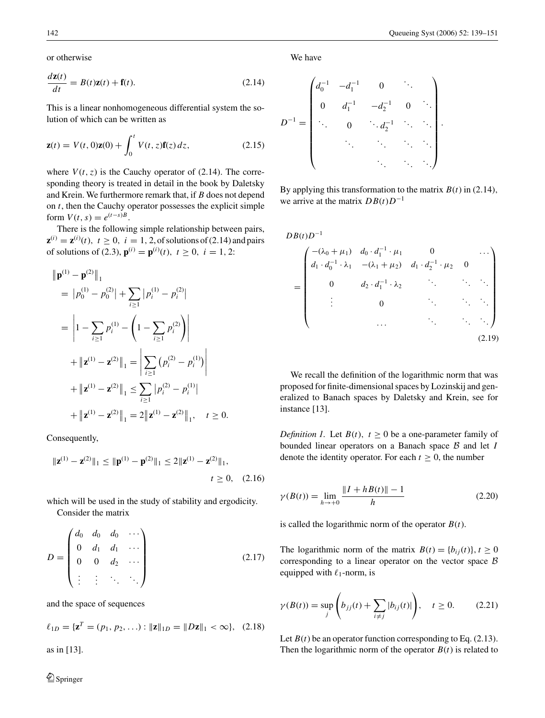or otherwise

$$
\frac{d\mathbf{z}(t)}{dt} = B(t)\mathbf{z}(t) + \mathbf{f}(t). \tag{2.14}
$$

This is a linear nonhomogeneous differential system the solution of which can be written as

$$
\mathbf{z}(t) = V(t,0)\mathbf{z}(0) + \int_0^t V(t,z)\mathbf{f}(z) dz,
$$
\n(2.15)

where  $V(t, z)$  is the Cauchy operator of (2.14). The corresponding theory is treated in detail in the book by Daletsky and Krein. We furthermore remark that, if *B* does not depend on *t*, then the Cauchy operator possesses the explicit simple form  $V(t, s) = e^{(t-s)B}$ .

There is the following simple relationship between pairs,  $z^{(i)} = z^{(i)}(t), t \ge 0, i = 1, 2$ , of solutions of (2.14) and pairs of solutions of (2.3),  $\mathbf{p}^{(i)} = \mathbf{p}^{(i)}(t)$ ,  $t \ge 0$ ,  $i = 1, 2$ :

$$
\|\mathbf{p}^{(1)} - \mathbf{p}^{(2)}\|_1
$$
  
=  $|p_0^{(1)} - p_0^{(2)}| + \sum_{i \ge 1} |p_i^{(1)} - p_i^{(2)}|$   
=  $|1 - \sum_{i \ge 1} p_i^{(1)} - \left(1 - \sum_{i \ge 1} p_i^{(2)}\right)|$   
+  $||\mathbf{z}^{(1)} - \mathbf{z}^{(2)}||_1 = \left|\sum_{i \ge 1} (p_i^{(2)} - p_i^{(1)})\right|$   
+  $||\mathbf{z}^{(1)} - \mathbf{z}^{(2)}||_1 \le \sum_{i \ge 1} |p_i^{(2)} - p_i^{(1)}|$   
+  $||\mathbf{z}^{(1)} - \mathbf{z}^{(2)}||_1 = 2 ||\mathbf{z}^{(1)} - \mathbf{z}^{(2)}||_1, \quad t \ge 0.$ 

Consequently,

$$
\|\mathbf{z}^{(1)} - \mathbf{z}^{(2)}\|_1 \le \|\mathbf{p}^{(1)} - \mathbf{p}^{(2)}\|_1 \le 2\|\mathbf{z}^{(1)} - \mathbf{z}^{(2)}\|_1,
$$
  
 $t \ge 0$ , (2.16)

which will be used in the study of stability and ergodicity. Consider the matrix

$$
D = \begin{pmatrix} d_0 & d_0 & d_0 & \cdots \\ 0 & d_1 & d_1 & \cdots \\ 0 & 0 & d_2 & \cdots \\ \vdots & \vdots & \ddots & \ddots \end{pmatrix}
$$
 (2.17)

and the space of sequences

$$
\ell_{1D} = {\mathbf{z}^T = (p_1, p_2, \ldots) : ||\mathbf{z}||_{1D} = ||D\mathbf{z}||_1 < \infty},
$$
 (2.18)

as in [13].

We have

$$
D^{-1} = \begin{pmatrix} d_0^{-1} & -d_1^{-1} & 0 & \ddots & \\ 0 & d_1^{-1} & -d_2^{-1} & 0 & \ddots \\ \ddots & 0 & \ddots & d_2^{-1} & \ddots & \ddots \\ \ddots & \ddots & \ddots & \ddots & \ddots \end{pmatrix}.
$$

By applying this transformation to the matrix  $B(t)$  in (2.14), we arrive at the matrix  $DB(t)D^{-1}$ 

$$
DB(t)D^{-1}
$$
  
= 
$$
\begin{pmatrix} -(\lambda_0 + \mu_1) & d_0 \cdot d_1^{-1} \cdot \mu_1 & 0 & \cdots \\ d_1 \cdot d_0^{-1} \cdot \lambda_1 & -(\lambda_1 + \mu_2) & d_1 \cdot d_2^{-1} \cdot \mu_2 & 0 \\ 0 & d_2 \cdot d_1^{-1} \cdot \lambda_2 & \cdots & \ddots & \ddots \\ \vdots & 0 & \ddots & \ddots & \ddots \\ \vdots & \vdots & \ddots & \ddots & \ddots \end{pmatrix}
$$
 (2.19)

We recall the definition of the logarithmic norm that was proposed for finite-dimensional spaces by Lozinskij and generalized to Banach spaces by Daletsky and Krein, see for instance [13].

*Definition 1.* Let  $B(t)$ ,  $t \ge 0$  be a one-parameter family of bounded linear operators on a Banach space B and let *I* denote the identity operator. For each  $t \geq 0$ , the number

$$
\gamma(B(t)) = \lim_{h \to +0} \frac{\|I + h(t)\| - 1}{h}
$$
\n(2.20)

is called the logarithmic norm of the operator  $B(t)$ .

The logarithmic norm of the matrix  $B(t) = \{b_{ij}(t)\}\$ ,  $t \ge 0$ corresponding to a linear operator on the vector space  $\beta$ equipped with  $\ell_1$ -norm, is

$$
\gamma(B(t)) = \sup_j \left( b_{jj}(t) + \sum_{i \neq j} |b_{ij}(t)| \right), \quad t \ge 0.
$$
\n(2.21)

Let  $B(t)$  be an operator function corresponding to Eq. (2.13). Then the logarithmic norm of the operator  $B(t)$  is related to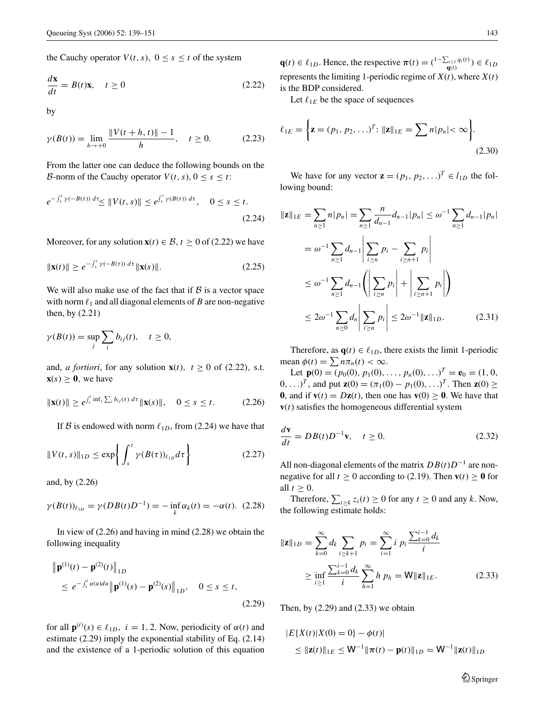the Cauchy operator  $V(t, s)$ ,  $0 \le s \le t$  of the system

$$
\frac{d\mathbf{x}}{dt} = B(t)\mathbf{x}, \quad t \ge 0
$$
\n(2.22)

by

$$
\gamma(B(t)) = \lim_{h \to +0} \frac{\|V(t+h, t)\| - 1}{h}, \quad t \ge 0.
$$
 (2.23)

From the latter one can deduce the following bounds on the *B*-norm of the Cauchy operator  $V(t, s)$ ,  $0 \le s \le t$ :

$$
e^{-\int_{s}^{t} \gamma(-B(\tau)) d\tau} \le \|V(t,s)\| \le e^{\int_{s}^{t} \gamma(B(\tau)) d\tau}, \quad 0 \le s \le t.
$$
\n(2.24)

Moreover, for any solution  $\mathbf{x}(t) \in \mathcal{B}$ ,  $t \geq 0$  of (2.22) we have

$$
\|\mathbf{x}(t)\| \ge e^{-\int_s^t \gamma(-B(\tau)) d\tau} \|\mathbf{x}(s)\|.
$$
 (2.25)

We will also make use of the fact that if  $\beta$  is a vector space with norm  $\ell_1$  and all diagonal elements of *B* are non-negative then, by (2.21)

$$
\gamma(B(t)) = \sup_j \sum_i b_{ij}(t), \quad t \ge 0,
$$

and, *a fortiori*, for any solution  $\mathbf{x}(t)$ ,  $t \geq 0$  of (2.22), s.t.  $\mathbf{x}(s) \geq 0$ , we have

$$
\|\mathbf{x}(t)\| \ge e^{\int_s^t \inf_j \sum_i b_{ij}(\tau) d\tau} \|\mathbf{x}(s)\|, \quad 0 \le s \le t. \tag{2.26}
$$

If B is endowed with norm  $\ell_{1D}$ , from (2.24) we have that

$$
||V(t,s)||_{1D} \le \exp\left\{ \int_{s}^{t} \gamma(B(\tau))_{\ell_{1D}} d\tau \right\}
$$
 (2.27)

and, by (2.26)

$$
\gamma(B(t))_{\ell_{1D}} = \gamma(DB(t)D^{-1}) = -\inf_{k} \alpha_k(t) = -\alpha(t).
$$
 (2.28)

In view of (2.26) and having in mind (2.28) we obtain the following inequality

$$
\|\mathbf{p}^{(1)}(t) - \mathbf{p}^{(2)}(t)\|_{1D}
$$
  
\n
$$
\leq e^{-\int_{s}^{t} \alpha(u) du} \|\mathbf{p}^{(1)}(s) - \mathbf{p}^{(2)}(s)\|_{1D}, \quad 0 \leq s \leq t,
$$
\n(2.29)

for all  $\mathbf{p}^{(i)}(s) \in \ell_{1D}$ ,  $i = 1, 2$ . Now, periodicity of  $\alpha(t)$  and estimate (2.29) imply the exponential stability of Eq. (2.14) and the existence of a 1-periodic solution of this equation

**q**(*t*)  $\in \ell_{1D}$ . Hence, the respective  $\pi(t) = \left(\frac{1-\sum_{i\geq 1} q_i(t)}{q(t)}\right) \in \ell_{1D}$ represents the limiting 1-periodic regime of  $X(t)$ , where  $X(t)$ is the BDP considered.

Let  $\ell_{1E}$  be the space of sequences

$$
\ell_{1E} = \left\{ \mathbf{z} = (p_1, p_2, \ldots)^T : ||\mathbf{z}||_{1E} = \sum n |p_n| < \infty \right\}.
$$
\n(2.30)

We have for any vector  $\mathbf{z} = (p_1, p_2, \ldots)^T \in l_{1D}$  the following bound:

$$
\|\mathbf{z}\|_{1E} = \sum_{n\geq 1} n|p_n| = \sum_{n\geq 1} \frac{n}{d_{n-1}} d_{n-1} |p_n| \leq \omega^{-1} \sum_{n\geq 1} d_{n-1} |p_n|
$$
  

$$
= \omega^{-1} \sum_{n\geq 1} d_{n-1} \left| \sum_{i\geq n} p_i - \sum_{i\geq n+1} p_i \right|
$$
  

$$
\leq \omega^{-1} \sum_{n\geq 1} d_{n-1} \left| \sum_{i\geq n} p_i \right| + \left| \sum_{i\geq n+1} p_i \right|
$$
  

$$
\leq 2\omega^{-1} \sum_{n\geq 0} d_n \left| \sum_{i\geq n} p_i \right| \leq 2\omega^{-1} \|\mathbf{z}\|_{1D}.
$$
 (2.31)

Therefore, as  $\mathbf{q}(t) \in \ell_{1D}$ , there exists the limit 1-periodic mean  $\phi(t) = \sum n \pi_n(t) < \infty$ .

Let  $\mathbf{p}(0) = (p_0(0), p_1(0), \ldots, p_n(0), \ldots)^T = \mathbf{e}_0 = (1, 0, 0)$ 0, ...)<sup>*T*</sup>, and put **z**(0) = (π<sub>1</sub>(0) −  $p_1$ (0), ...)<sup>*T*</sup>. Then **z**(0) ≥ **0**, and if  $\mathbf{v}(t) = D\mathbf{z}(t)$ , then one has  $\mathbf{v}(0) \ge 0$ . We have that  **satisfies the homogeneous differential system** 

$$
\frac{d\mathbf{v}}{dt} = DB(t)D^{-1}\mathbf{v}, \quad t \ge 0.
$$
 (2.32)

All non-diagonal elements of the matrix  $DB(t)D^{-1}$  are nonnegative for all  $t \ge 0$  according to (2.19). Then  $\mathbf{v}(t) \ge 0$  for all  $t \geq 0$ .

Therefore,  $\sum_{i \geq k} z_i(t) \geq 0$  for any  $t \geq 0$  and any *k*. Now, the following estimate holds:

$$
\|\mathbf{z}\|_{1D} = \sum_{k=0}^{\infty} d_k \sum_{i \ge k+1} p_i = \sum_{i=1}^{\infty} i p_i \frac{\sum_{k=0}^{i-1} d_k}{i}
$$
  

$$
\ge \inf_{i \ge 1} \frac{\sum_{k=0}^{i-1} d_k}{i} \sum_{h=1}^{\infty} h p_h = \mathbf{W} \|\mathbf{z}\|_{1E}.
$$
 (2.33)

Then, by  $(2.29)$  and  $(2.33)$  we obtain

$$
|E\{X(t)|X(0) = 0\} - \phi(t)|
$$
  
\n
$$
\leq ||\mathbf{z}(t)||_{1E} \leq W^{-1}||\pi(t) - \mathbf{p}(t)||_{1D} = W^{-1}||\mathbf{z}(t)||_{1D}
$$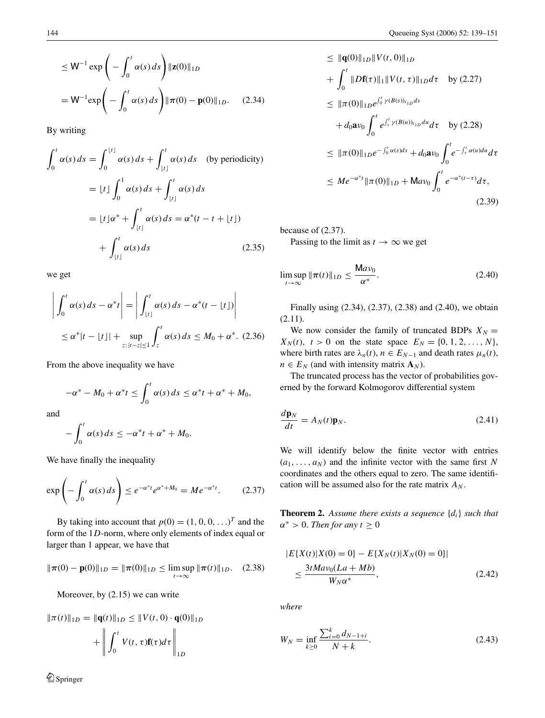$$
\leq W^{-1} \exp\left(-\int_0^t \alpha(s) \, ds\right) ||\mathbf{z}(0)||_{1D}
$$
\n
$$
= W^{-1} \exp\left(-\int_0^t \alpha(s) \, ds\right) ||\boldsymbol{\pi}(0) - \mathbf{p}(0)||_{1D}. \tag{2.34}
$$

By writing

$$
\int_0^t \alpha(s) ds = \int_0^{\lfloor t \rfloor} \alpha(s) ds + \int_{\lfloor t \rfloor}^t \alpha(s) ds \quad \text{(by periodicity)}
$$

$$
= \lfloor t \rfloor \int_0^1 \alpha(s) ds + \int_{\lfloor t \rfloor}^t \alpha(s) ds
$$

$$
= \lfloor t \rfloor \alpha^* + \int_{\lfloor t \rfloor}^t \alpha(s) ds = \alpha^*(t - t + \lfloor t \rfloor)
$$

$$
+ \int_{\lfloor t \rfloor}^t \alpha(s) ds \qquad (2.35)
$$

we get

$$
\left| \int_0^t \alpha(s) ds - \alpha^* t \right| = \left| \int_{\lfloor t \rfloor}^t \alpha(s) ds - \alpha^*(t - \lfloor t \rfloor) \right|
$$
  
 
$$
\leq \alpha^* |t - \lfloor t \rfloor + \sup_{z: |t - z| \leq 1} \int_z^t \alpha(s) ds \leq M_0 + \alpha^*. \quad (2.36)
$$

From the above inequality we have

$$
-\alpha^* - M_0 + \alpha^* t \le \int_0^t \alpha(s) ds \le \alpha^* t + \alpha^* + M_0,
$$

and

$$
-\int_0^t \alpha(s) ds \leq -\alpha^* t + \alpha^* + M_0.
$$

We have finally the inequality

$$
\exp\left(-\int_0^t \alpha(s) \, ds\right) \le e^{-\alpha^* t} e^{\alpha^* + M_0} = Me^{-\alpha^* t}.\tag{2.37}
$$

By taking into account that  $p(0) = (1, 0, 0, \ldots)^T$  and the form of the 1*D*-norm, where only elements of index equal or larger than 1 appear, we have that

$$
\|\pi(0) - \mathbf{p}(0)\|_{1D} = \|\pi(0)\|_{1D} \le \limsup_{t \to \infty} \|\pi(t)\|_{1D}. \quad (2.38)
$$

Moreover, by (2.15) we can write

$$
\|\pi(t)\|_{1D} = \|\mathbf{q}(t)\|_{1D} \le \|V(t, 0) \cdot \mathbf{q}(0)\|_{1D} + \left\| \int_0^t V(t, \tau) \mathbf{f}(\tau) d\tau \right\|_{1D}
$$

$$
\leq \|\mathbf{q}(0)\|_{1D} \|V(t,0)\|_{1D}
$$
  
+  $\int_0^t \|D\mathbf{f}(\tau)\|_1 \|V(t,\tau)\|_{1D} d\tau$  by (2.27)  

$$
\leq \|\pi(0)\|_{1D} e^{\int_0^t \gamma(B(s))_{\ell_{1D}} ds}
$$
  
+  $d_0 \mathbf{a} v_0 \int_0^t e^{\int_t^t \gamma(B(u))_{\ell_{1D}} du} d\tau$  by (2.28)  

$$
\leq \|\pi(0)\|_{1D} e^{-\int_0^t \alpha(s) ds} + d_0 \mathbf{a} v_0 \int_0^t e^{-\int_t^t \alpha(u) du} d\tau
$$
  

$$
\leq Me^{-\alpha^*t} \|\pi(0)\|_{1D} + \mathbf{M} a v_0 \int_0^t e^{-\alpha^*(t-\tau)} d\tau,
$$
(2.39)

because of (2.37). Passing to the limit as  $t \to \infty$  we get

$$
\limsup_{t \to \infty} \|\pi(t)\|_{1D} \le \frac{\mathsf{M}av_0}{\alpha^*}.\tag{2.40}
$$

Finally using (2.34), (2.37), (2.38) and (2.40), we obtain (2.11).

We now consider the family of truncated BDPs  $X_N =$  $X_N(t)$ ,  $t > 0$  on the state space  $E_N = \{0, 1, 2, ..., N\}$ , where birth rates are  $\lambda_n(t)$ ,  $n \in E_{N-1}$  and death rates  $\mu_n(t)$ ,  $n \in E_N$  (and with intensity matrix  $\mathbf{A}_N$ ).

The truncated process has the vector of probabilities governed by the forward Kolmogorov differential system

$$
\frac{d\mathbf{p}_N}{dt} = A_N(t)\mathbf{p}_N.
$$
\n(2.41)

We will identify below the finite vector with entries  $(a_1, \ldots, a_N)$  and the infinite vector with the same first N coordinates and the others equal to zero. The same identification will be assumed also for the rate matrix  $A_N$ .

**Theorem 2.** *Assume there exists a sequence* {*di*} *such that*  $\alpha^* > 0$ . *Then for any*  $t \geq 0$ 

$$
|E\{X(t)|X(0) = 0\} - E\{X_N(t)|X_N(0) = 0\}|
$$
  
 
$$
\leq \frac{3tMav_0(La + Mb)}{W_N\alpha^*},
$$
 (2.42)

*where*

$$
W_N = \inf_{k \ge 0} \frac{\sum_{i=0}^k d_{N-1+i}}{N+k}.
$$
\n(2.43)

Springer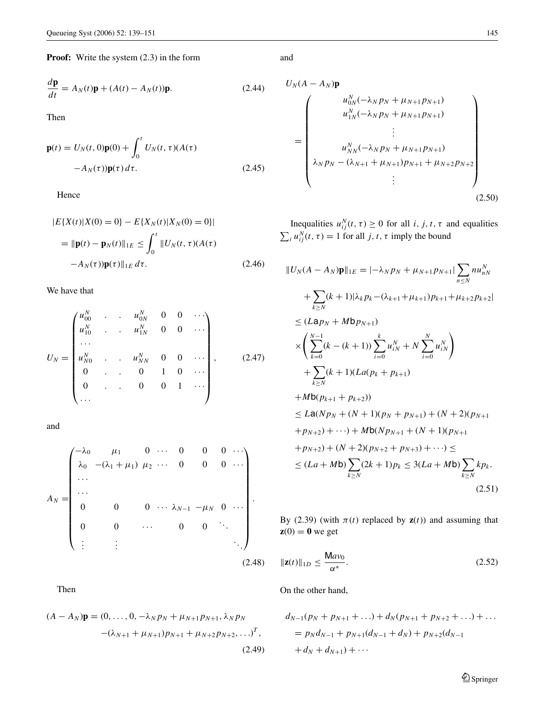**Proof:** Write the system  $(2.3)$  in the form

$$
\frac{d\mathbf{p}}{dt} = A_N(t)\mathbf{p} + (A(t) - A_N(t))\mathbf{p}.
$$
 (2.44)

Then

$$
\mathbf{p}(t) = U_N(t, 0)\mathbf{p}(0) + \int_0^t U_N(t, \tau)(A(\tau))
$$

$$
-A_N(\tau))\mathbf{p}(\tau) d\tau.
$$
 (2.45)

Hence

$$
|E\{X(t)|X(0) = 0\} - E\{X_N(t)|X_N(0) = 0\}|
$$
  
=  $\|\mathbf{p}(t) - \mathbf{p}_N(t)\|_{1E} \le \int_0^t \|U_N(t, \tau)(A(\tau))\|_{1E} d\tau.$  (2.46)

We have that

$$
U_N = \begin{pmatrix} u_{00}^N & \cdots & u_{0N}^N & 0 & 0 & \cdots \\ u_{10}^N & \cdots & u_{1N}^N & 0 & 0 & \cdots \\ \vdots & \vdots & \vdots & \vdots & \vdots & \vdots \\ u_{N0}^N & \cdots & u_{NN}^N & 0 & 0 & \cdots \\ 0 & \cdots & 0 & 1 & 0 & \cdots \\ 0 & \cdots & 0 & 0 & 1 & \cdots \\ \vdots & \vdots & \vdots & \vdots & \vdots & \vdots \end{pmatrix}, \qquad (2.47)
$$

and

$$
A_N = \begin{pmatrix} -\lambda_0 & \mu_1 & 0 & \cdots & 0 & 0 & 0 & \cdots \\ \lambda_0 & -(\lambda_1 + \mu_1) & \mu_2 & \cdots & 0 & 0 & 0 & \cdots \\ \cdots & & & & & & \\ \cdots & & & & & & \\ 0 & 0 & 0 & \cdots & \lambda_{N-1} & -\mu_N & 0 & \cdots \\ 0 & 0 & \cdots & 0 & 0 & \ddots \\ \vdots & \vdots & & & & \\ \end{pmatrix}.
$$
\n(2.48)

Then

$$
(A - A_N)\mathbf{p} = (0, ..., 0, -\lambda_N p_N + \mu_{N+1} p_{N+1}, \lambda_N p_N
$$

$$
-(\lambda_{N+1} + \mu_{N+1}) p_{N+1} + \mu_{N+2} p_{N+2}, ...)^T,
$$

$$
(2.49)
$$

and

$$
U_{N}(A - A_{N})\mathbf{p}
$$
\n
$$
= \begin{pmatrix}\nu_{0N}^{N}(-\lambda_{N}p_{N} + \mu_{N+1}p_{N+1}) \\
u_{1N}^{N}(-\lambda_{N}p_{N} + \mu_{N+1}p_{N+1}) \\
\vdots \\
u_{NN}^{N}(-\lambda_{N}p_{N} + \mu_{N+1}p_{N+1}) \\
\lambda_{N}p_{N} - (\lambda_{N+1} + \mu_{N+1})p_{N+1} + \mu_{N+2}p_{N+2} \\
\vdots\n\end{pmatrix}
$$
\n(2.50)

Inequalities  $u_{ij}^N(t, \tau) \ge 0$  for all *i*, *j*, *t*,  $\tau$  and equalities  $\sum_i u_{ij}^N(t, \tau) = 1$  for all *j*, *t*,  $\tau$  imply the bound

$$
||U_{N}(A - A_{N})\mathbf{p}||_{1E} = |-\lambda_{N}p_{N} + \mu_{N+1}p_{N+1}| \sum_{n \leq N} n u_{nN}^{N}
$$
  
+  $\sum_{k \geq N} (k + 1)|\lambda_{k}p_{k} - (\lambda_{k+1} + \mu_{k+1})p_{k+1} + \mu_{k+2}p_{k+2}|$   
 $\leq (Lap_{N} + Mbp_{N+1})$   
 $\times \left( \sum_{k=0}^{N-1} (k - (k + 1)) \sum_{i=0}^{k} u_{iN}^{N} + N \sum_{i=0}^{N} u_{iN}^{N} \right)$   
+  $\sum_{k \geq N} (k + 1)(La(p_{k} + p_{k+1})$   
+  $Mb(p_{k+1} + p_{k+2}))$   
 $\leq La(Np_{N} + (N + 1)(p_{N} + p_{N+1}) + (N + 2)(p_{N+1} + p_{N+2}) + \cdots) + Mb(Np_{N+1} + (N + 1)(p_{N+1} + p_{N+2}) + (N + 2)(p_{N+2} + p_{N+3}) + \cdots) \le$   
 $\leq (La + Mb) \sum_{k \geq N} (2k + 1)p_{k} \leq 3(La + Mb) \sum_{k \geq N} kp.$  (2.51)

By (2.39) (with  $\pi(t)$  replaced by  $z(t)$ ) and assuming that  $z(0) = 0$  we get

$$
\|\mathbf{z}(t)\|_{1D} \le \frac{\mathsf{M}av_0}{\alpha^*}.\tag{2.52}
$$

On the other hand,

$$
d_{N-1}(p_N + p_{N+1} + ...) + d_N(p_{N+1} + p_{N+2} + ...) + ...
$$
  
=  $p_N d_{N-1} + p_{N+1}(d_{N-1} + d_N) + p_{N+2}(d_{N-1} + d_N + d_{N+1}) + ...$ 

 $\mathcal{D}$  Springer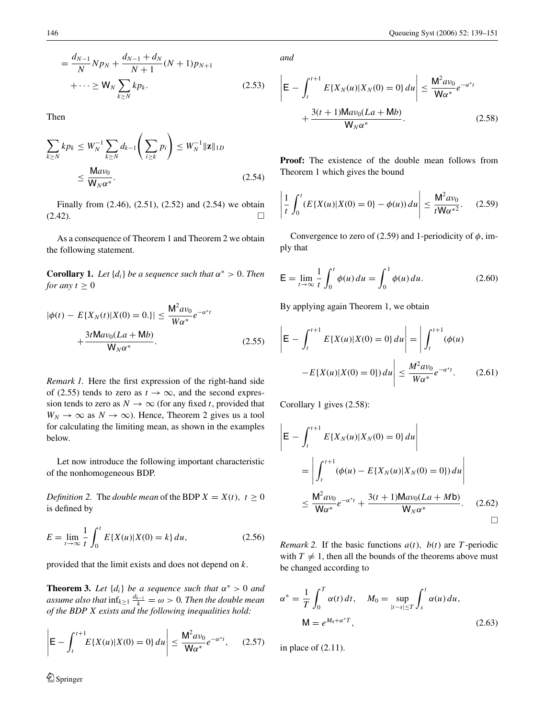$$
= \frac{d_{N-1}}{N} N p_N + \frac{d_{N-1} + d_N}{N+1} (N+1) p_{N+1}
$$
  
+ ...  $\geq$  W<sub>N</sub>  $\sum_{k \geq N} k p_k$ . (2.53)

Then

$$
\sum_{k\geq N} k p_k \leq W_N^{-1} \sum_{k\geq N} d_{k-1} \left( \sum_{i\geq k} p_i \right) \leq W_N^{-1} ||\mathbf{z}||_{1D}
$$
\n
$$
\leq \frac{\mathsf{M} a v_0}{\mathsf{W}_N \alpha^*}.
$$
\n(2.54)

Finally from (2.46), (2.51), (2.52) and (2.54) we obtain  $(2.42).$ 

As a consequence of Theorem 1 and Theorem 2 we obtain the following statement.

**Corollary 1.** *Let*  $\{d_i\}$  *be a sequence such that*  $\alpha^* > 0$ *. Then for any*  $t \geq 0$ 

$$
|\phi(t) - E\{X_N(t)|X(0) = 0.\}| \le \frac{M^2 a v_0}{W\alpha^*} e^{-\alpha^* t} + \frac{3t M a v_0 (La + Mb)}{W_N \alpha^*}.
$$
 (2.55)

*Remark 1.* Here the first expression of the right-hand side of (2.55) tends to zero as  $t \to \infty$ , and the second expression tends to zero as  $N \to \infty$  (for any fixed *t*, provided that  $W_N \to \infty$  as  $N \to \infty$ ). Hence, Theorem 2 gives us a tool for calculating the limiting mean, as shown in the examples below.

Let now introduce the following important characteristic of the nonhomogeneous BDP.

*Definition 2.* The *double mean* of the BDP  $X = X(t)$ ,  $t \ge 0$ is defined by

$$
E = \lim_{t \to \infty} \frac{1}{t} \int_0^t E\{X(u)|X(0) = k\} du,
$$
 (2.56)

provided that the limit exists and does not depend on *k*.

**Theorem 3.** Let  $\{d_i\}$  be a sequence such that  $\alpha^* > 0$  and *assume also that*  $\inf_{k \geq 1} \frac{d_{k-1}}{k} = \omega > 0$ . Then the double mean *of the BDP X exists and the following inequalities hold:*

$$
\left| \mathsf{E} - \int_{t}^{t+1} E\{X(u)|X(0) = 0\} du \right| \leq \frac{\mathsf{M}^2 a v_0}{\mathsf{W} \alpha^*} e^{-\alpha^* t}, \quad (2.57)
$$

*and*

$$
\left| \mathsf{E} - \int_{t}^{t+1} E\{X_{N}(u)|X_{N}(0) = 0\} du \right| \leq \frac{\mathsf{M}^{2} a v_{0}}{\mathsf{W} \alpha^{*}} e^{-\alpha^{*} t} + \frac{3(t+1) \mathsf{M} a v_{0} (La + \mathsf{M} b)}{\mathsf{W}_{N} \alpha^{*}}.
$$
 (2.58)

**Proof:** The existence of the double mean follows from Theorem 1 which gives the bound

$$
\left| \frac{1}{t} \int_0^t (E\{X(u)|X(0) = 0\} - \phi(u)) du \right| \le \frac{M^2 a v_0}{t W \alpha^{*2}}.
$$
 (2.59)

Convergence to zero of (2.59) and 1-periodicity of  $\phi$ , imply that

$$
\mathsf{E} = \lim_{t \to \infty} \frac{1}{t} \int_0^t \phi(u) \, du = \int_0^1 \phi(u) \, du. \tag{2.60}
$$

By applying again Theorem 1, we obtain

$$
\left| \mathsf{E} - \int_{t}^{t+1} E\{X(u)|X(0) = 0\} du \right| = \left| \int_{t}^{t+1} (\phi(u) - E\{X(u)|X(0) = 0\}) du \right| \leq \frac{M^2 a v_0}{W \alpha^*} e^{-\alpha^* t}.
$$
 (2.61)

Corollary 1 gives (2.58):

$$
\left| \mathsf{E} - \int_{t}^{t+1} E\{X_{N}(u)|X_{N}(0) = 0\} du \right|
$$
  
\n
$$
= \left| \int_{t}^{t+1} (\phi(u) - E\{X_{N}(u)|X_{N}(0) = 0\}) du \right|
$$
  
\n
$$
\leq \frac{\mathsf{M}^{2} a v_{0}}{\mathsf{W} \alpha^{*}} e^{-\alpha^{*} t} + \frac{3(t+1) \mathsf{M} a v_{0} (L a + M b)}{\mathsf{W}_{N} \alpha^{*}}.
$$
 (2.62)

*Remark 2.* If the basic functions  $a(t)$ ,  $b(t)$  are *T*-periodic with  $T \neq 1$ , then all the bounds of the theorems above must be changed according to

$$
\alpha^* = \frac{1}{T} \int_0^T \alpha(t) dt, \quad M_0 = \sup_{|t-s| \le T} \int_s^t \alpha(u) du,
$$
  
 
$$
M = e^{M_0 + \alpha^* T}, \qquad (2.63)
$$

in place of (2.11).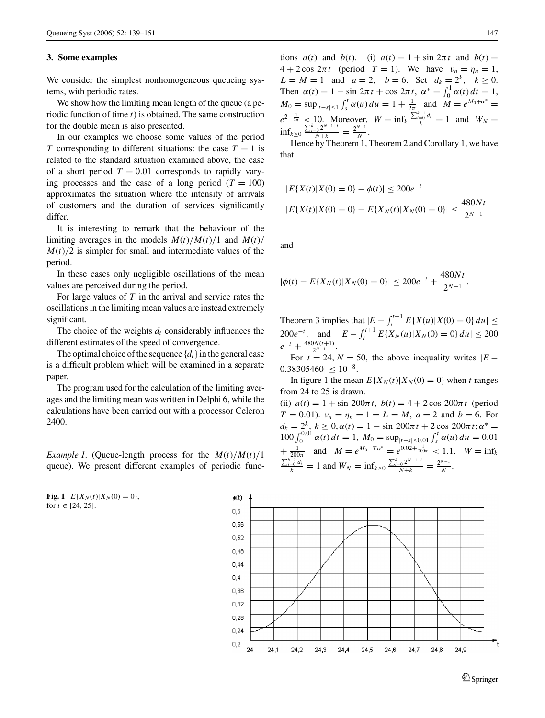#### **3. Some examples**

We consider the simplest nonhomogeneous queueing systems, with periodic rates.

We show how the limiting mean length of the queue (a periodic function of time *t*) is obtained. The same construction for the double mean is also presented.

In our examples we choose some values of the period *T* corresponding to different situations: the case  $T = 1$  is related to the standard situation examined above, the case of a short period  $T = 0.01$  corresponds to rapidly varying processes and the case of a long period  $(T = 100)$ approximates the situation where the intensity of arrivals of customers and the duration of services significantly differ.

It is interesting to remark that the behaviour of the limiting averages in the models  $M(t)/M(t)/1$  and  $M(t)/1$  $M(t)/2$  is simpler for small and intermediate values of the period.

In these cases only negligible oscillations of the mean values are perceived during the period.

For large values of *T* in the arrival and service rates the oscillations in the limiting mean values are instead extremely significant.

The choice of the weights  $d_i$  considerably influences the different estimates of the speed of convergence.

The optimal choice of the sequence  $\{d_i\}$  in the general case is a difficult problem which will be examined in a separate paper.

The program used for the calculation of the limiting averages and the limiting mean was written in Delphi 6, while the calculations have been carried out with a processor Celeron 2400.

*Example 1.* (Queue-length process for the  $M(t)/M(t)/1$ queue). We present different examples of periodic func-

**Fig. 1**  $E{X_N(t)|X_N(0) = 0}$ , for  $t \in [24, 25]$ .

Hence by Theorem 1, Theorem 2 and Corollary 1, we have that

$$
|E\{X(t)|X(0) = 0\} - \phi(t)| \le 200e^{-t}
$$
  

$$
|E\{X(t)|X(0) = 0\} - E\{X_N(t)|X_N(0) = 0\}| \le \frac{480Nt}{2^{N-1}}
$$

and

$$
|\phi(t) - E\{X_N(t)|X_N(0) = 0\}| \le 200e^{-t} + \frac{480Nt}{2^{N-1}}.
$$

Theorem 3 implies that  $|E - \int_{t}^{t+1} E\{X(u)|X(0) = 0\} du|$ 200*e<sup>-t</sup>*, and  $|E - \int_{t}^{t+1} E\{X_N(u)|X_N(0) = 0\} du|$  ≤ 200  $e^{-t} + \frac{480N(t+1)}{2^{N-1}}$ .

For  $t = 24$ ,  $N = 50$ , the above inequality writes  $|E 0.38305460 < 10^{-8}$ .

In figure 1 the mean  $E{X_N(t)|X_N(0) = 0}$  when *t* ranges from 24 to 25 is drawn.

(ii)  $a(t) = 1 + \sin 200\pi t$ ,  $b(t) = 4 + 2\cos 200\pi t$  (period  $T = 0.01$ .  $v_n = \eta_n = 1 = L = M$ ,  $a = 2$  and  $b = 6$ . For  $d_k = 2^k$ ,  $k \ge 0$ ,  $\alpha(t) = 1 - \sin 200\pi t + 2\cos 200\pi t$ ;  $\alpha^* =$  $100 \int_0^{0.01} \alpha(t) dt = 1, M_0 = \sup_{|t-s| \le 0.01} \int_s^t \alpha(u) du = 0.01$  $+\frac{1}{200\pi}$  and  $M = e^{M_0 + T\alpha^*} = e^{0.02 + \frac{1}{200\pi}} < 1.1$ .  $W = \inf_k$  $\frac{\sum_{i=0}^{k-1} d_i}{k} = 1$  and  $W_N = \inf_{k \ge 0} \frac{\sum_{i=0}^{k} 2^{N-1+i}}{N+k} = \frac{2^{N-1}}{N}$ .



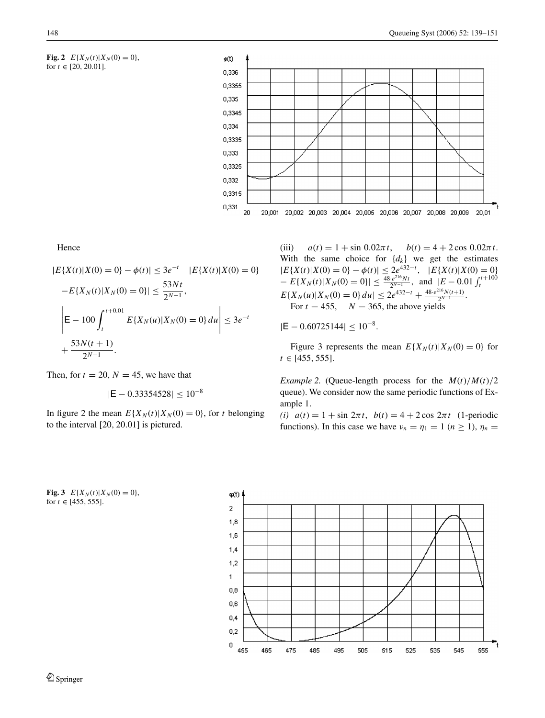



Hence

$$
|E\{X(t)|X(0) = 0\} - \phi(t)| \le 3e^{-t} |E\{X(t)|X(0) = 0\} - E\{X_N(t)|X_N(0) = 0\}| \le \frac{53Nt}{2^{N-1}},
$$
  
\n
$$
\left|E - 100 \int_{t}^{t+0.01} E\{X_N(u)|X_N(0) = 0\} du \right| \le 3e^{-t}
$$
  
\n+  $\frac{53N(t+1)}{2^{N-1}}$ .

Then, for  $t = 20$ ,  $N = 45$ , we have that

$$
|\mathsf{E}-0.33354528| \leq 10^{-8}
$$

In figure 2 the mean  $E{X_N(t)|X_N(0) = 0}$ , for *t* belonging to the interval [20, 20.01] is pictured.

(iii)  $a(t) = 1 + \sin 0.02\pi t$ ,  $b(t) = 4 + 2\cos 0.02\pi t$ . With the same choice for  $\{d_k\}$  we get the estimates  $|E{X(t)|X(0) = 0} - \phi(t)| \leq 2e^{432-t}, \quad |E{X(t)|X(0) = 0}$  $-E\{X_N(t)|X_N(0) = 0\}| \le \frac{48 \cdot e^{216} Nt}{2^{N-1}}, \text{ and } |E - 0.01 \int_t^{t+100} E\{X_N(u)|X_N(0) = 0\} du| \le 2e^{432-t} + \frac{48 \cdot e^{216} N(t+1)}{2^{N-1}}.$ For  $t = 455$ ,  $N = 365$ , the above yields

 $|E - 0.60725144| \leq 10^{-8}$ .

Figure 3 represents the mean  $E\{X_N(t)|X_N(0) = 0\}$  for *t* ∈ [455, 555].

*Example 2.* (Queue-length process for the  $M(t)/M(t)/2$ queue). We consider now the same periodic functions of Example 1.

*(i)*  $a(t) = 1 + \sin 2\pi t$ ,  $b(t) = 4 + 2\cos 2\pi t$  (1-periodic functions). In this case we have  $\nu_n = \eta_1 = 1$  ( $n \ge 1$ ),  $\eta_n =$ 

**Fig. 3**  $E{X_N(t)|X_N(0) = 0}$ , for  $t \in [455, 555]$ .

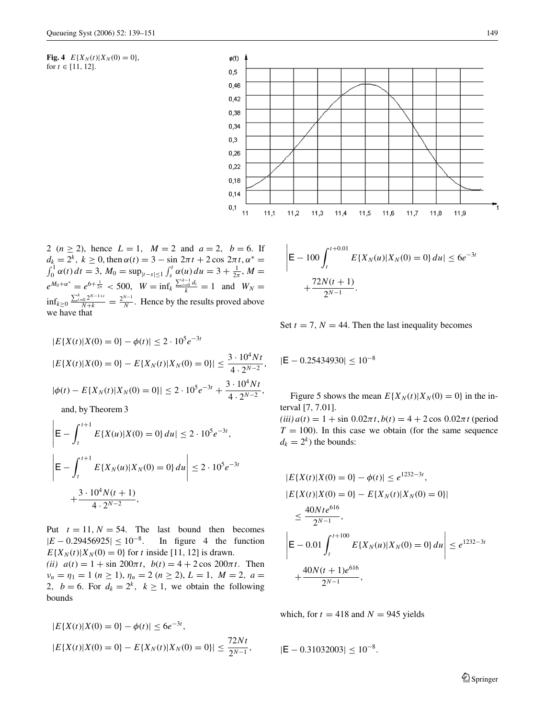**Fig. 4**  $E{X_N(t)|X_N(0) = 0}$ , for  $t \in [11, 12]$ .



2 ( $n \ge 2$ ), hence  $L = 1$ ,  $M = 2$  and  $a = 2$ ,  $b = 6$ . If  $d_k = 2^k$ ,  $k \ge 0$ , then  $\alpha(t) = 3 - \sin 2\pi t + 2 \cos 2\pi t$ ,  $\alpha^* =$ <br> $\int_0^1 \alpha(t) dt = 3$ ,  $M_0 = \sup_{|t-s| \le 1} \int_s^t \alpha(u) du = 3 + \frac{1}{2\pi}$ ,  $M =$  $e^{M_0 + \alpha^*} = e^{6 + \frac{1}{2\pi}} < 500$ ,  $W = \inf_k \frac{\sum_{i=0}^{k-1} d_i}{k} = 1$  and  $W_N =$  $\inf_{k \geq 0} \frac{\sum_{i=0}^{k} 2^{N-1+i}}{N+k} = \frac{2^{N-1}}{N}$ . Hence by the results proved above we have that

$$
|E\{X(t)|X(0) = 0\} - \phi(t)| \le 2 \cdot 10^5 e^{-3t}
$$
  
\n
$$
|E\{X(t)|X(0) = 0\} - E\{X_N(t)|X_N(0) = 0\}| \le \frac{3 \cdot 10^4 Nt}{4 \cdot 2^{N-2}},
$$
  
\n
$$
|\phi(t) - E\{X_N(t)|X_N(0) = 0\}| \le 2 \cdot 10^5 e^{-3t} + \frac{3 \cdot 10^4 Nt}{4 \cdot 2^{N-2}},
$$

and, by Theorem 3

$$
\left| \mathsf{E} - \int_{t}^{t+1} E\{X(u)|X(0) = 0\} du \right| \leq 2 \cdot 10^{5} e^{-3t},
$$
\n
$$
\left| \mathsf{E} - \int_{t}^{t+1} E\{X_{N}(u)|X_{N}(0) = 0\} du \right| \leq 2 \cdot 10^{5} e^{-3t}
$$
\n
$$
+ \frac{3 \cdot 10^{4} N(t+1)}{4 \cdot 2^{N-2}},
$$

Put  $t = 11$ ,  $N = 54$ . The last bound then becomes  $|E - 0.29456925| \le 10^{-8}$ . In figure 4 the function  $E{X_N(t)|X_N(0) = 0}$  for *t* inside [11, 12] is drawn. *(ii)*  $a(t) = 1 + \sin 200\pi t$ ,  $b(t) = 4 + 2\cos 200\pi t$ . Then  $\nu_n = \eta_1 = 1 \ (n \geq 1), \ \eta_n = 2 \ (n \geq 2), \ L = 1, \ M = 2, \ a = 1$ 2,  $b = 6$ . For  $d_k = 2^k$ ,  $k \ge 1$ , we obtain the following bounds

$$
|E\{X(t)|X(0) = 0\} - \phi(t)| \le 6e^{-3t},
$$
  

$$
|E\{X(t)|X(0) = 0\} - E\{X_N(t)|X_N(0) = 0\}| \le \frac{72Nt}{2^{N-1}},
$$

$$
\left| \mathsf{E} - 100 \int_{t}^{t+0.01} E\{X_N(u) | X_N(0) = 0\} du \right| \le 6e^{-3t}
$$

$$
+ \frac{72N(t+1)}{2^{N-1}}.
$$

Set  $t = 7$ ,  $N = 44$ . Then the last inequality becomes

$$
|\text{E}-0.25434930| \leq 10^{-8}
$$

Figure 5 shows the mean  $E{X_N(t)|X_N(0) = 0}$  in the interval [7, 7.01].

 $(iii) a(t) = 1 + \sin 0.02\pi t, b(t) = 4 + 2\cos 0.02\pi t$  (period  $T = 100$ ). In this case we obtain (for the same sequence  $d_k = 2^k$ ) the bounds:

$$
|E\{X(t)|X(0) = 0\} - \phi(t)| \le e^{1232-3t},
$$
  
\n
$$
|E\{X(t)|X(0) = 0\} - E\{X_N(t)|X_N(0) = 0\}|
$$
  
\n
$$
\le \frac{40Nte^{616}}{2^{N-1}},
$$
  
\n
$$
\left|E - 0.01 \int_{t}^{t+100} E\{X_N(u)|X_N(0) = 0\} du \right| \le e^{1232-3t}
$$
  
\n
$$
+\frac{40N(t+1)e^{616}}{2^{N-1}},
$$

which, for  $t = 418$  and  $N = 945$  yields

$$
|\textbf{E}-0.31032003|\leq 10^{-8}.
$$

 $\mathcal{D}$  Springer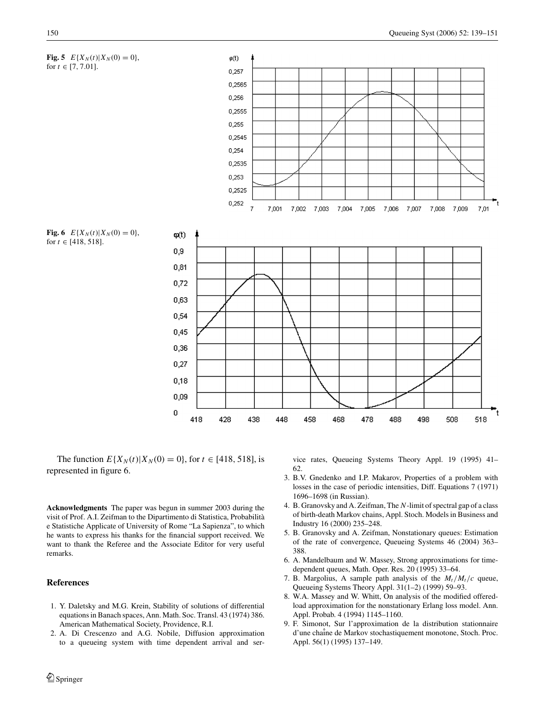

The function  $E{X_N(t)|X_N(0) = 0}$ , for  $t \in [418, 518]$ , is represented in figure 6.

**Acknowledgments** The paper was begun in summer 2003 during the visit of Prof. A.I. Zeifman to the Dipartimento di Statistica, Probabilità e Statistiche Applicate of University of Rome "La Sapienza", to which he wants to express his thanks for the financial support received. We want to thank the Referee and the Associate Editor for very useful remarks.

# **References**

- 1. Y. Daletsky and M.G. Krein, Stability of solutions of differential equations in Banach spaces, Ann. Math. Soc. Transl. 43 (1974) 386. American Mathematical Society, Providence, R.I.
- 2. A. Di Crescenzo and A.G. Nobile, Diffusion approximation to a queueing system with time dependent arrival and ser-

vice rates, Queueing Systems Theory Appl. 19 (1995) 41– 62.

- 3. B.V. Gnedenko and I.P. Makarov, Properties of a problem with losses in the case of periodic intensities, Diff. Equations 7 (1971) 1696–1698 (in Russian).
- 4. B. Granovsky and A. Zeifman, The *N*-limit of spectral gap of a class of birth-death Markov chains, Appl. Stoch. Models in Business and Industry 16 (2000) 235–248.
- 5. B. Granovsky and A. Zeifman, Nonstationary queues: Estimation of the rate of convergence, Queueing Systems 46 (2004) 363– 388.
- 6. A. Mandelbaum and W. Massey, Strong approximations for timedependent queues, Math. Oper. Res. 20 (1995) 33–64.
- 7. B. Margolius, A sample path analysis of the  $M_t/M_t/c$  queue, Queueing Systems Theory Appl. 31(1–2) (1999) 59–93.
- 8. W.A. Massey and W. Whitt, On analysis of the modified offeredload approximation for the nonstationary Erlang loss model. Ann. Appl. Probab. 4 (1994) 1145–1160.
- 9. F. Simonot, Sur l'approximation de la distribution stationnaire d'une chaîne de Markov stochastiquement monotone, Stoch. Proc. Appl. 56(1) (1995) 137–149.